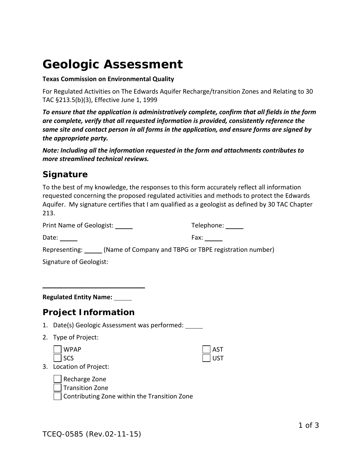# **Geologic Assessment**

#### **Texas Commission on Environmental Quality**

For Regulated Activities on The Edwards Aquifer Recharge/transition Zones and Relating to 30 TAC §213.5(b)(3), Effective June 1, 1999

*To ensure that the application is administratively complete, confirm that all fields in the form are complete, verify that all requested information is provided, consistently reference the same site and contact person in all forms in the application, and ensure forms are signed by the appropriate party.* 

*Note: Including all the information requested in the form and attachments contributes to more streamlined technical reviews.*

### *Signature*

To the best of my knowledge, the responses to this form accurately reflect all information requested concerning the proposed regulated activities and methods to protect the Edwards Aquifer. My signature certifies that I am qualified as a geologist as defined by 30 TAC Chapter 213.

| Print Name of Geologist:                      | Telephone: ______                                                           |
|-----------------------------------------------|-----------------------------------------------------------------------------|
| Date: $\_\_$                                  | Fax: $\_\_\_\_\_\_\_\$                                                      |
|                                               | Representing: ______ (Name of Company and TBPG or TBPE registration number) |
| Signature of Geologist:                       |                                                                             |
|                                               |                                                                             |
|                                               |                                                                             |
| <b>Regulated Entity Name:</b>                 |                                                                             |
| <b>Project Information</b>                    |                                                                             |
|                                               |                                                                             |
| 1. Date(s) Geologic Assessment was performed: |                                                                             |
| 2. Type of Project:                           |                                                                             |
| <b>WPAP</b><br>SCS                            | <b>AST</b>                                                                  |

3. Location of Project:

Recharge Zone Transition Zone

Contributing Zone within the Transition Zone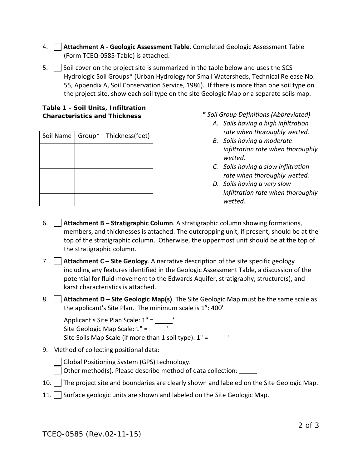- 4. **Attachment A - Geologic Assessment Table**. Completed Geologic Assessment Table (Form TCEQ-0585-Table) is attached.
- 5.  $\vert$  Soil cover on the project site is summarized in the table below and uses the SCS Hydrologic Soil Groups\* (Urban Hydrology for Small Watersheds, Technical Release No. 55, Appendix A, Soil Conservation Service, 1986). If there is more than one soil type on the project site, show each soil type on the site Geologic Map or a separate soils map.

#### **Table 1 - Soil Units, Infiltration Characteristics and Thickness**

| Soil Name   Group* | Thickness(feet) |
|--------------------|-----------------|
|                    |                 |
|                    |                 |
|                    |                 |
|                    |                 |
|                    |                 |

- *\* Soil Group Definitions (Abbreviated)*
	- *A. Soils having a high infiltration rate when thoroughly wetted.*
	- *B. Soils having a moderate infiltration rate when thoroughly wetted.*
	- *C. Soils having a slow infiltration rate when thoroughly wetted.*
	- *D. Soils having a very slow infiltration rate when thoroughly wetted.*
- 6. **Attachment B – Stratigraphic Column**. A stratigraphic column showing formations, members, and thicknesses is attached. The outcropping unit, if present, should be at the top of the stratigraphic column. Otherwise, the uppermost unit should be at the top of the stratigraphic column.
- 7. **Attachment C – Site Geology**. A narrative description of the site specific geology including any features identified in the Geologic Assessment Table, a discussion of the potential for fluid movement to the Edwards Aquifer, stratigraphy, structure(s), and karst characteristics is attached.
- 8. **Attachment D – Site Geologic Map(s)**. The Site Geologic Map must be the same scale as the applicant's Site Plan. The minimum scale is 1": 400'

Applicant's Site Plan Scale: 1" = \_\_\_\_\_\_' Site Geologic Map Scale: 1" = Site Soils Map Scale (if more than 1 soil type):  $1" = \_$ 

9. Method of collecting positional data:

Global Positioning System (GPS) technology. Other method(s). Please describe method of data collection:

- 10. The project site and boundaries are clearly shown and labeled on the Site Geologic Map.
- 11. Surface geologic units are shown and labeled on the Site Geologic Map.